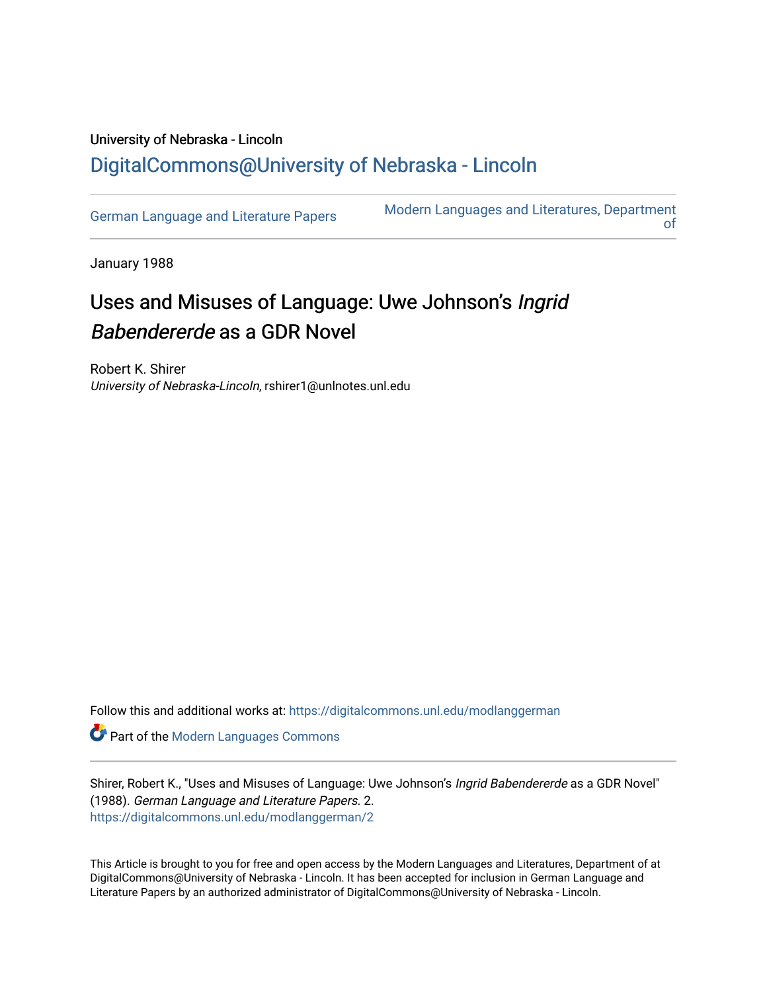## University of Nebraska - Lincoln [DigitalCommons@University of Nebraska - Lincoln](https://digitalcommons.unl.edu/)

[German Language and Literature Papers](https://digitalcommons.unl.edu/modlanggerman) Modern Languages and Literatures, Department [of](https://digitalcommons.unl.edu/modernlanguages) 

January 1988

## Uses and Misuses of Language: Uwe Johnson's Ingrid Babendererde as a GDR Novel

Robert K. Shirer University of Nebraska-Lincoln, rshirer1@unlnotes.unl.edu

Follow this and additional works at: [https://digitalcommons.unl.edu/modlanggerman](https://digitalcommons.unl.edu/modlanggerman?utm_source=digitalcommons.unl.edu%2Fmodlanggerman%2F2&utm_medium=PDF&utm_campaign=PDFCoverPages) 

Part of the [Modern Languages Commons](http://network.bepress.com/hgg/discipline/1130?utm_source=digitalcommons.unl.edu%2Fmodlanggerman%2F2&utm_medium=PDF&utm_campaign=PDFCoverPages) 

Shirer, Robert K., "Uses and Misuses of Language: Uwe Johnson's Ingrid Babendererde as a GDR Novel" (1988). German Language and Literature Papers. 2. [https://digitalcommons.unl.edu/modlanggerman/2](https://digitalcommons.unl.edu/modlanggerman/2?utm_source=digitalcommons.unl.edu%2Fmodlanggerman%2F2&utm_medium=PDF&utm_campaign=PDFCoverPages) 

This Article is brought to you for free and open access by the Modern Languages and Literatures, Department of at DigitalCommons@University of Nebraska - Lincoln. It has been accepted for inclusion in German Language and Literature Papers by an authorized administrator of DigitalCommons@University of Nebraska - Lincoln.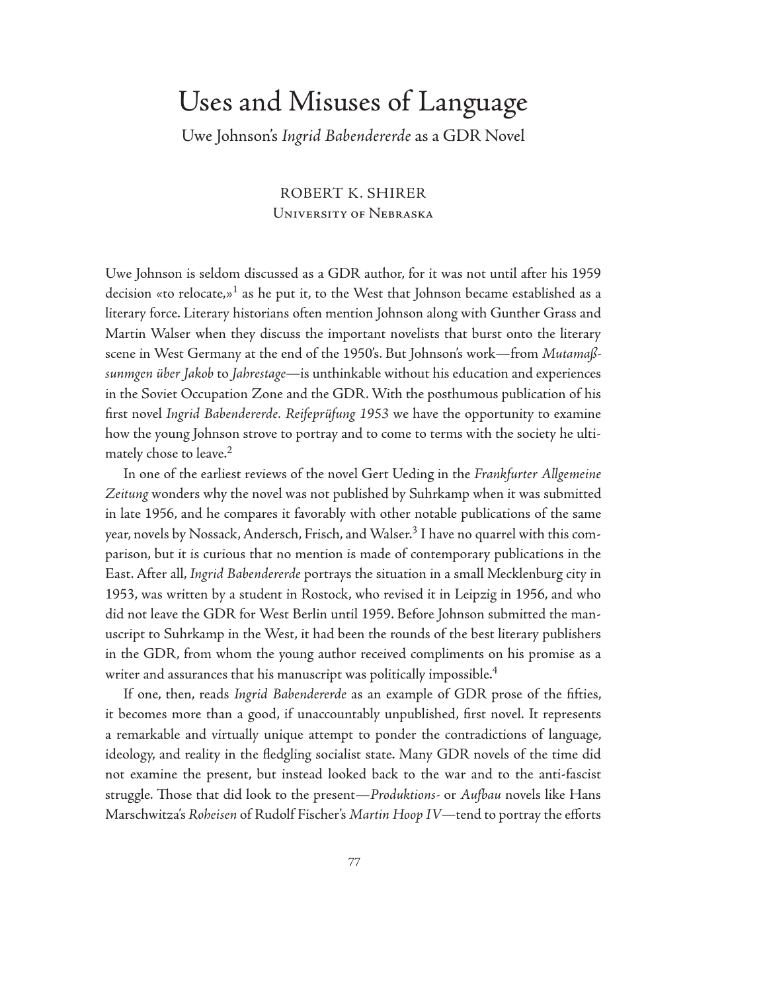## Uses and Misuses of Language

Uwe Johnson's *Ingrid Babendererde* as a GDR Novel

ROBERT K. SHIRER University of Nebraska

Uwe Johnson is seldom discussed as a GDR author, for it was not until after his 1959 decision «to relocate,»<sup>1</sup> as he put it, to the West that Johnson became established as a literary force. Literary historians often mention Johnson along with Gunther Grass and Martin Walser when they discuss the important novelists that burst onto the literary scene in West Germany at the end of the 1950's. But Johnson's work—from *Mutamaßsunmgen über Jakob* to *Jahrestage—*is unthinkable without his education and experiences in the Soviet Occupation Zone and the GDR. With the posthumous publication of his first novel *Ingrid Babendererde. Reifeprüfung 1953* we have the opportunity to examine how the young Johnson strove to portray and to come to terms with the society he ultimately chose to leave.<sup>2</sup>

In one of the earliest reviews of the novel Gert Ueding in the *Frankfurter Allgemeine Zeitung* wonders why the novel was not published by Suhrkamp when it was submitted in late 1956, and he compares it favorably with other notable publications of the same year, novels by Nossack, Andersch, Frisch, and Walser.<sup>3</sup> I have no quarrel with this comparison, but it is curious that no mention is made of contemporary publications in the East. After all, *Ingrid Babendererde* portrays the situation in a small Mecklenburg city in 1953, was written by a student in Rostock, who revised it in Leipzig in 1956, and who did not leave the GDR for West Berlin until 1959. Before Johnson submitted the manuscript to Suhrkamp in the West, it had been the rounds of the best literary publishers in the GDR, from whom the young author received compliments on his promise as a writer and assurances that his manuscript was politically impossible.<sup>4</sup>

If one, then, reads *Ingrid Babendererde* as an example of GDR prose of the fifties, it becomes more than a good, if unaccountably unpublished, first novel. It represents a remarkable and virtually unique attempt to ponder the contradictions of language, ideology, and reality in the fledgling socialist state. Many GDR novels of the time did not examine the present, but instead looked back to the war and to the anti-fascist struggle. Th ose that did look to the present—*Produktions-* or *Aufbau* novels like Hans Marschwitza's *Roheisen* of Rudolf Fischer's Martin Hoop IV—tend to portray the efforts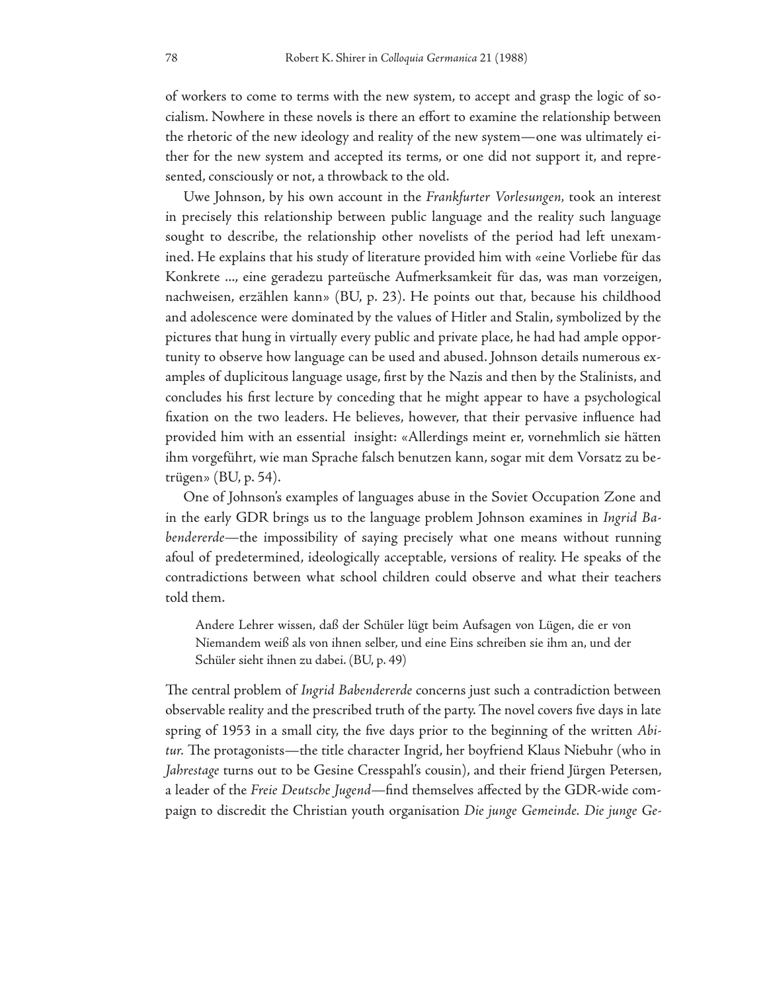of workers to come to terms with the new system, to accept and grasp the logic of socialism. Nowhere in these novels is there an effort to examine the relationship between the rhetoric of the new ideology and reality of the new system—one was ultimately either for the new system and accepted its terms, or one did not support it, and represented, consciously or not, a throwback to the old.

Uwe Johnson, by his own account in the *Frankfurter Vorlesungen,* took an interest in precisely this relationship between public language and the reality such language sought to describe, the relationship other novelists of the period had left unexamined. He explains that his study of literature provided him with «eine Vorliebe für das Konkrete ..., eine geradezu parteüsche Aufmerksamkeit für das, was man vorzeigen, nachweisen, erzählen kann» (BU, p. 23). He points out that, because his childhood and adolescence were dominated by the values of Hitler and Stalin, symbolized by the pictures that hung in virtually every public and private place, he had had ample opportunity to observe how language can be used and abused. Johnson details numerous examples of duplicitous language usage, first by the Nazis and then by the Stalinists, and concludes his first lecture by conceding that he might appear to have a psychological fixation on the two leaders. He believes, however, that their pervasive influence had provided him with an essential insight: «Allerdings meint er, vornehmlich sie hätten ihm vorgeführt, wie man Sprache falsch benutzen kann, sogar mit dem Vorsatz zu betrügen» (BU, p. 54).

One of Johnson's examples of languages abuse in the Soviet Occupation Zone and in the early GDR brings us to the language problem Johnson examines in *Ingrid Babendererde—*the impossibility of saying precisely what one means without running afoul of predetermined, ideologically acceptable, versions of reality. He speaks of the contradictions between what school children could observe and what their teachers told them.

Andere Lehrer wissen, daß der Schüler lügt beim Aufsagen von Lügen, die er von Niemandem weiß als von ihnen selber, und eine Eins schreiben sie ihm an, und der Schüler sieht ihnen zu dabei. (BU, p. 49)

The central problem of *Ingrid Babendererde* concerns just such a contradiction between observable reality and the prescribed truth of the party. The novel covers five days in late spring of 1953 in a small city, the five days prior to the beginning of the written *Abitur*. The protagonists—the title character Ingrid, her boyfriend Klaus Niebuhr (who in *Jahrestage* turns out to be Gesine Cresspahl's cousin), and their friend Jürgen Petersen, a leader of the *Freie Deutsche Jugend—find themselves affected by the GDR-wide com*paign to discredit the Christian youth organisation *Die junge Gemeinde. Die junge Ge-*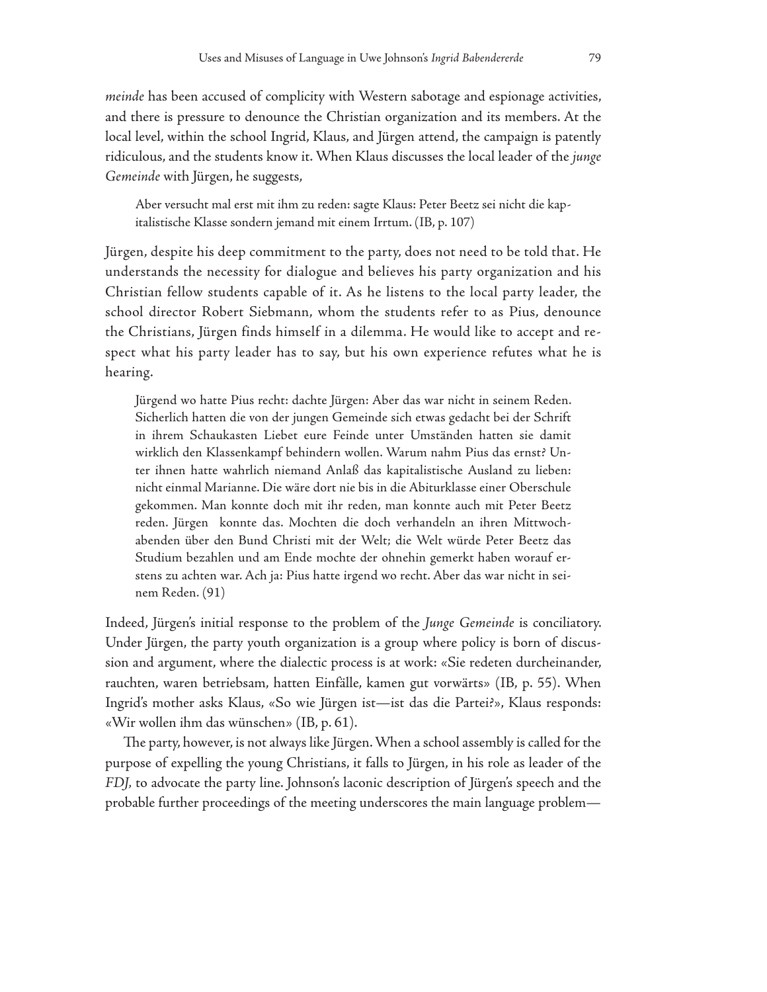*meinde* has been accused of complicity with Western sabotage and espionage activities, and there is pressure to denounce the Christian organization and its members. At the local level, within the school Ingrid, Klaus, and Jürgen attend, the campaign is patently ridiculous, and the students know it. When Klaus discusses the local leader of the *junge Gemeinde* with Jürgen, he suggests,

Aber versucht mal erst mit ihm zu reden: sagte Klaus: Peter Beetz sei nicht die kapitalistische Klasse sondern jemand mit einem Irrtum. (IB, p. 107)

Jürgen, despite his deep commitment to the party, does not need to be told that. He understands the necessity for dialogue and believes his party organization and his Christian fellow students capable of it. As he listens to the local party leader, the school director Robert Siebmann, whom the students refer to as Pius, denounce the Christians, Jürgen finds himself in a dilemma. He would like to accept and respect what his party leader has to say, but his own experience refutes what he is hearing.

Jürgend wo hatte Pius recht: dachte Jürgen: Aber das war nicht in seinem Reden. Sicherlich hatten die von der jungen Gemeinde sich etwas gedacht bei der Schrift in ihrem Schaukasten Liebet eure Feinde unter Umständen hatten sie damit wirklich den Klassenkampf behindern wollen. Warum nahm Pius das ernst? Unter ihnen hatte wahrlich niemand Anlaß das kapitalistische Ausland zu lieben: nicht einmal Marianne. Die wäre dort nie bis in die Abiturklasse einer Oberschule gekommen. Man konnte doch mit ihr reden, man konnte auch mit Peter Beetz reden. Jürgen konnte das. Mochten die doch verhandeln an ihren Mittwochabenden über den Bund Christi mit der Welt; die Welt würde Peter Beetz das Studium bezahlen und am Ende mochte der ohnehin gemerkt haben worauf erstens zu achten war. Ach ja: Pius hatte irgend wo recht. Aber das war nicht in seinem Reden. (91)

Indeed, Jürgen's initial response to the problem of the *Junge Gemeinde* is conciliatory. Under Jürgen, the party youth organization is a group where policy is born of discussion and argument, where the dialectic process is at work: «Sie redeten durcheinander, rauchten, waren betriebsam, hatten Einfälle, kamen gut vorwärts» (IB, p. 55). When Ingrid's mother asks Klaus, «So wie Jürgen ist—ist das die Partei?», Klaus responds: «Wir wollen ihm das wünschen» (IB, p. 61).

The party, however, is not always like Jürgen. When a school assembly is called for the purpose of expelling the young Christians, it falls to Jürgen, in his role as leader of the *FDJ,* to advocate the party line. Johnson's laconic description of Jürgen's speech and the probable further proceedings of the meeting underscores the main language problem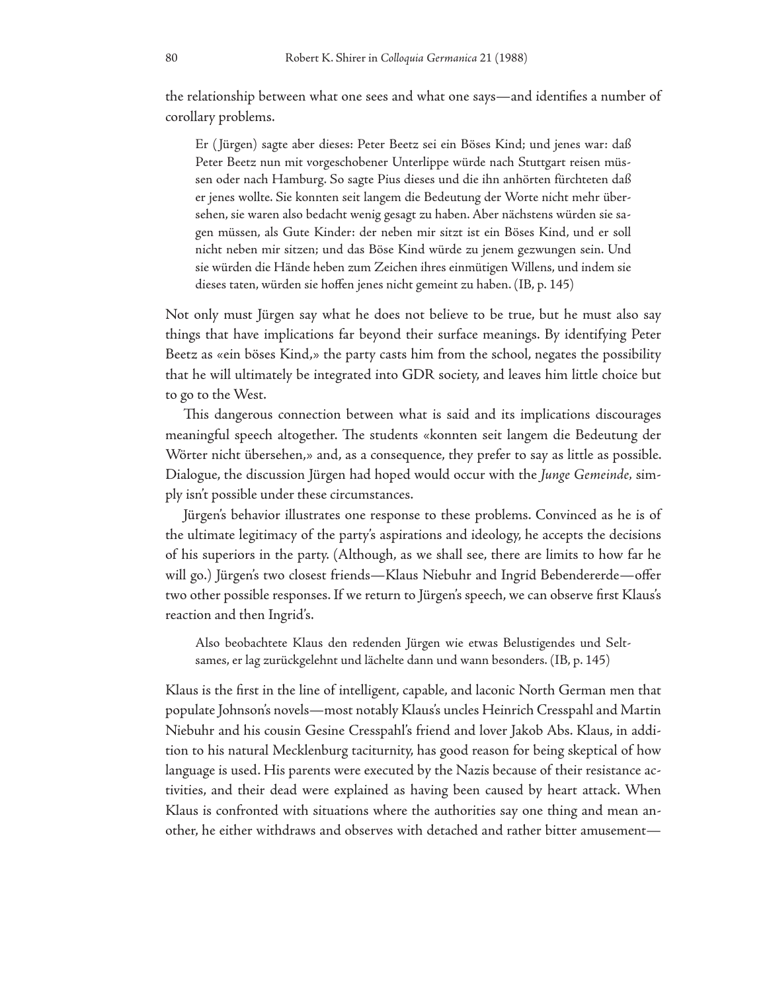the relationship between what one sees and what one says—and identifies a number of corollary problems.

Er ( Jürgen) sagte aber dieses: Peter Beetz sei ein Böses Kind; und jenes war: daß Peter Beetz nun mit vorgeschobener Unterlippe würde nach Stuttgart reisen müssen oder nach Hamburg. So sagte Pius dieses und die ihn anhörten fürchteten daß er jenes wollte. Sie konnten seit langem die Bedeutung der Worte nicht mehr übersehen, sie waren also bedacht wenig gesagt zu haben. Aber nächstens würden sie sagen müssen, als Gute Kinder: der neben mir sitzt ist ein Böses Kind, und er soll nicht neben mir sitzen; und das Böse Kind würde zu jenem gezwungen sein. Und sie würden die Hände heben zum Zeichen ihres einmütigen Willens, und indem sie dieses taten, würden sie hoffen jenes nicht gemeint zu haben. (IB, p. 145)

Not only must Jürgen say what he does not believe to be true, but he must also say things that have implications far beyond their surface meanings. By identifying Peter Beetz as «ein böses Kind,» the party casts him from the school, negates the possibility that he will ultimately be integrated into GDR society, and leaves him little choice but to go to the West.

This dangerous connection between what is said and its implications discourages meaningful speech altogether. The students «konnten seit langem die Bedeutung der Wörter nicht übersehen,» and, as a consequence, they prefer to say as little as possible. Dialogue, the discussion Jürgen had hoped would occur with the *Junge Gemeinde,* simply isn't possible under these circumstances.

Jürgen's behavior illustrates one response to these problems. Convinced as he is of the ultimate legitimacy of the party's aspirations and ideology, he accepts the decisions of his superiors in the party. (Although, as we shall see, there are limits to how far he will go.) Jürgen's two closest friends—Klaus Niebuhr and Ingrid Bebendererde—offer two other possible responses. If we return to Jürgen's speech, we can observe first Klaus's reaction and then Ingrid's.

Also beobachtete Klaus den redenden Jürgen wie etwas Belustigendes und Seltsames, er lag zurückgelehnt und lächelte dann und wann besonders. (IB, p. 145)

Klaus is the first in the line of intelligent, capable, and laconic North German men that populate Johnson's novels—most notably Klaus's uncles Heinrich Cresspahl and Martin Niebuhr and his cousin Gesine Cresspahl's friend and lover Jakob Abs. Klaus, in addition to his natural Mecklenburg taciturnity, has good reason for being skeptical of how language is used. His parents were executed by the Nazis because of their resistance activities, and their dead were explained as having been caused by heart attack. When Klaus is confronted with situations where the authorities say one thing and mean another, he either withdraws and observes with detached and rather bitter amusement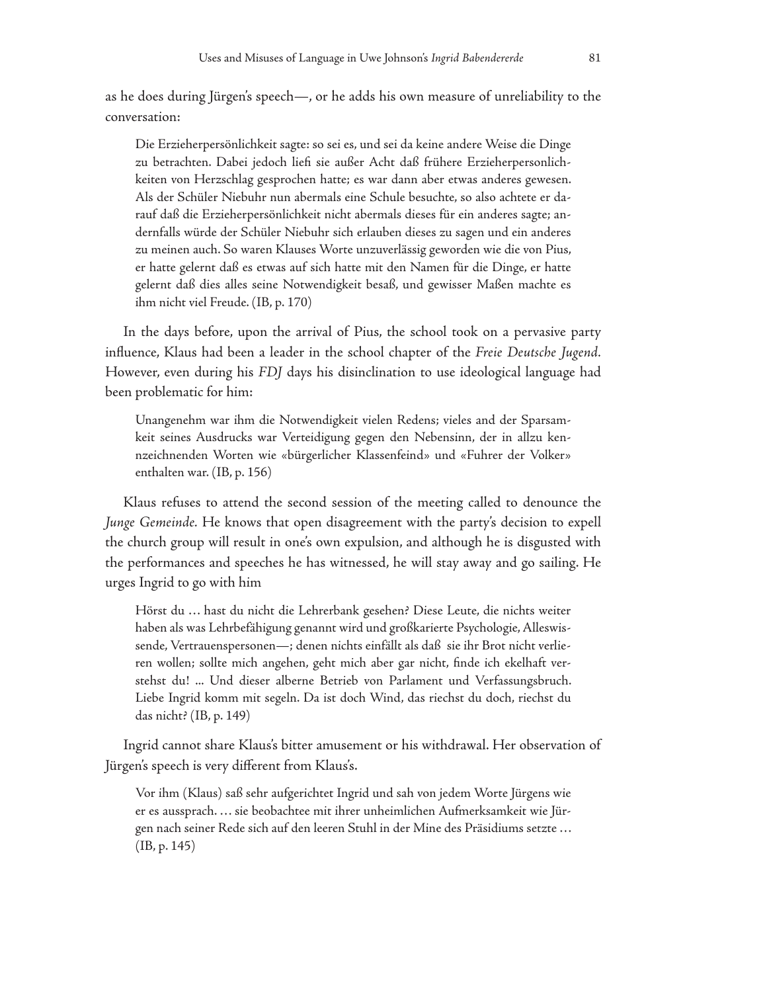as he does during Jürgen's speech—, or he adds his own measure of unreliability to the conversation:

Die Erzieherpersönlichkeit sagte: so sei es, und sei da keine andere Weise die Dinge zu betrachten. Dabei jedoch liefi sie außer Acht daß frühere Erzieherpersonlichkeiten von Herzschlag gesprochen hatte; es war dann aber etwas anderes gewesen. Als der Schüler Niebuhr nun abermals eine Schule besuchte, so also achtete er darauf daß die Erzieherpersönlichkeit nicht abermals dieses für ein anderes sagte; andernfalls würde der Schüler Niebuhr sich erlauben dieses zu sagen und ein anderes zu meinen auch. So waren Klauses Worte unzuverlässig geworden wie die von Pius, er hatte gelernt daß es etwas auf sich hatte mit den Namen für die Dinge, er hatte gelernt daß dies alles seine Notwendigkeit besaß, und gewisser Maßen machte es ihm nicht viel Freude. (IB, p. 170)

In the days before, upon the arrival of Pius, the school took on a pervasive party influence, Klaus had been a leader in the school chapter of the *Freie Deutsche Jugend*. However, even during his *FDJ* days his disinclination to use ideological language had been problematic for him:

Unangenehm war ihm die Notwendigkeit vielen Redens; vieles and der Sparsamkeit seines Ausdrucks war Verteidigung gegen den Nebensinn, der in allzu kennzeichnenden Worten wie «bürgerlicher Klassenfeind» und «Fuhrer der Volker» enthalten war. (IB, p. 156)

Klaus refuses to attend the second session of the meeting called to denounce the *Junge Gemeinde.* He knows that open disagreement with the party's decision to expell the church group will result in one's own expulsion, and although he is disgusted with the performances and speeches he has witnessed, he will stay away and go sailing. He urges Ingrid to go with him

Hörst du ... hast du nicht die Lehrerbank gesehen? Diese Leute, die nichts weiter haben als was Lehrbefähigung genannt wird und großkarierte Psychologie, Alleswissende, Vertrauenspersonen—; denen nichts einfällt als daß sie ihr Brot nicht verlieren wollen; sollte mich angehen, geht mich aber gar nicht, finde ich ekelhaft verstehst du! ... Und dieser alberne Betrieb von Parlament und Verfassungsbruch. Liebe Ingrid komm mit segeln. Da ist doch Wind, das riechst du doch, riechst du das nicht? (IB, p. 149)

Ingrid cannot share Klaus's bitter amusement or his withdrawal. Her observation of Jürgen's speech is very different from Klaus's.

Vor ihm (Klaus) saß sehr aufgerichtet Ingrid und sah von jedem Worte Jürgens wie er es aussprach. . . . sie beobachtee mit ihrer unheimlichen Aufmerksamkeit wie Jürgen nach seiner Rede sich auf den leeren Stuhl in der Mine des Präsidiums setzte . . . (IB, p. 145)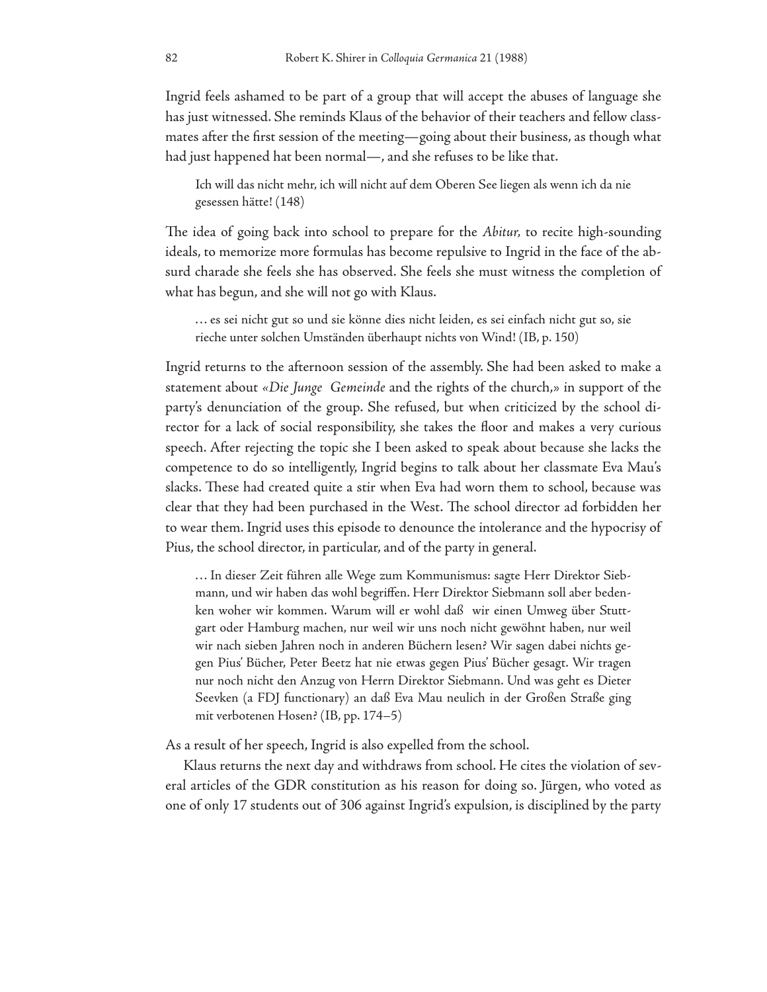Ingrid feels ashamed to be part of a group that will accept the abuses of language she has just witnessed. She reminds Klaus of the behavior of their teachers and fellow classmates after the first session of the meeting—going about their business, as though what had just happened hat been normal—, and she refuses to be like that.

Ich will das nicht mehr, ich will nicht auf dem Oberen See liegen als wenn ich da nie gesessen hätte! (148)

The idea of going back into school to prepare for the *Abitur*, to recite high-sounding ideals, to memorize more formulas has become repulsive to Ingrid in the face of the absurd charade she feels she has observed. She feels she must witness the completion of what has begun, and she will not go with Klaus.

. . . es sei nicht gut so und sie könne dies nicht leiden, es sei einfach nicht gut so, sie rieche unter solchen Umständen überhaupt nichts von Wind! (IB, p. 150)

Ingrid returns to the afternoon session of the assembly. She had been asked to make a statement about *«Die Junge Gemeinde* and the rights of the church,» in support of the party's denunciation of the group. She refused, but when criticized by the school director for a lack of social responsibility, she takes the floor and makes a very curious speech. After rejecting the topic she I been asked to speak about because she lacks the competence to do so intelligently, Ingrid begins to talk about her classmate Eva Mau's slacks. These had created quite a stir when Eva had worn them to school, because was clear that they had been purchased in the West. The school director ad forbidden her to wear them. Ingrid uses this episode to denounce the intolerance and the hypocrisy of Pius, the school director, in particular, and of the party in general.

. . . In dieser Zeit führen alle Wege zum Kommunismus: sagte Herr Direktor Siebmann, und wir haben das wohl begriffen. Herr Direktor Siebmann soll aber bedenken woher wir kommen. Warum will er wohl daß wir einen Umweg über Stuttgart oder Hamburg machen, nur weil wir uns noch nicht gewöhnt haben, nur weil wir nach sieben Jahren noch in anderen Büchern lesen? Wir sagen dabei nichts gegen Pius' Bücher, Peter Beetz hat nie etwas gegen Pius' Bücher gesagt. Wir tragen nur noch nicht den Anzug von Herrn Direktor Siebmann. Und was geht es Dieter Seevken (a FDJ functionary) an daß Eva Mau neulich in der Großen Straße ging mit verbotenen Hosen? (IB, pp. 174–5)

As a result of her speech, Ingrid is also expelled from the school.

Klaus returns the next day and withdraws from school. He cites the violation of several articles of the GDR constitution as his reason for doing so. Jürgen, who voted as one of only 17 students out of 306 against Ingrid's expulsion, is disciplined by the party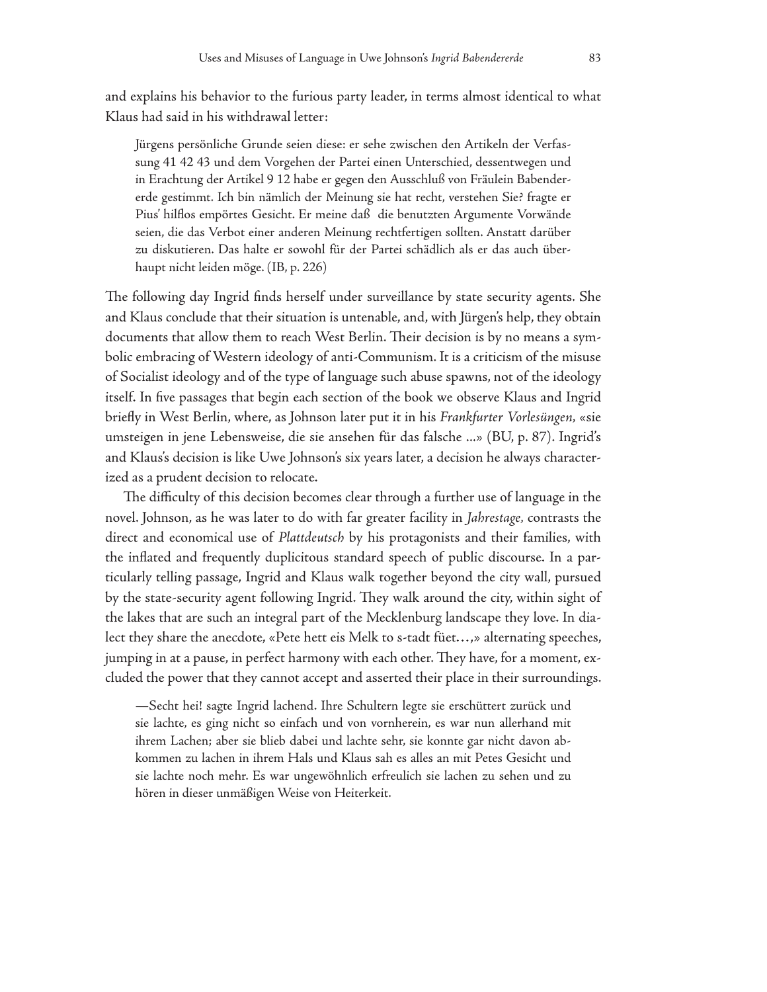and explains his behavior to the furious party leader, in terms almost identical to what Klaus had said in his withdrawal letter:

Jürgens persönliche Grunde seien diese: er sehe zwischen den Artikeln der Verfassung 41 42 43 und dem Vorgehen der Partei einen Unterschied, dessentwegen und in Erachtung der Artikel 9 12 habe er gegen den Ausschluß von Fräulein Babendererde gestimmt. Ich bin nämlich der Meinung sie hat recht, verstehen Sie? fragte er Pius' hilflos empörtes Gesicht. Er meine daß die benutzten Argumente Vorwände seien, die das Verbot einer anderen Meinung rechtfertigen sollten. Anstatt darüber zu diskutieren. Das halte er sowohl für der Partei schädlich als er das auch überhaupt nicht leiden möge. (IB, p. 226)

The following day Ingrid finds herself under surveillance by state security agents. She and Klaus conclude that their situation is untenable, and, with Jürgen's help, they obtain documents that allow them to reach West Berlin. Their decision is by no means a symbolic embracing of Western ideology of anti-Communism. It is a criticism of the misuse of Socialist ideology and of the type of language such abuse spawns, not of the ideology itself. In five passages that begin each section of the book we observe Klaus and Ingrid briefly in West Berlin, where, as Johnson later put it in his *Frankfurter Vorlesüngen*, «sie umsteigen in jene Lebensweise, die sie ansehen für das falsche ...» (BU, p. 87). Ingrid's and Klaus's decision is like Uwe Johnson's six years later, a decision he always characterized as a prudent decision to relocate.

The difficulty of this decision becomes clear through a further use of language in the novel. Johnson, as he was later to do with far greater facility in *Jahrestage,* contrasts the direct and economical use of *Plattdeutsch* by his protagonists and their families, with the inflated and frequently duplicitous standard speech of public discourse. In a particularly telling passage, Ingrid and Klaus walk together beyond the city wall, pursued by the state-security agent following Ingrid. They walk around the city, within sight of the lakes that are such an integral part of the Mecklenburg landscape they love. In dialect they share the anecdote, «Pete hett eis Melk to s-tadt füet. . . ,» alternating speeches, jumping in at a pause, in perfect harmony with each other. They have, for a moment, excluded the power that they cannot accept and asserted their place in their surroundings.

—Secht hei! sagte Ingrid lachend. Ihre Schultern legte sie erschüttert zurück und sie lachte, es ging nicht so einfach und von vornherein, es war nun allerhand mit ihrem Lachen; aber sie blieb dabei und lachte sehr, sie konnte gar nicht davon abkommen zu lachen in ihrem Hals und Klaus sah es alles an mit Petes Gesicht und sie lachte noch mehr. Es war ungewöhnlich erfreulich sie lachen zu sehen und zu hören in dieser unmäßigen Weise von Heiterkeit.